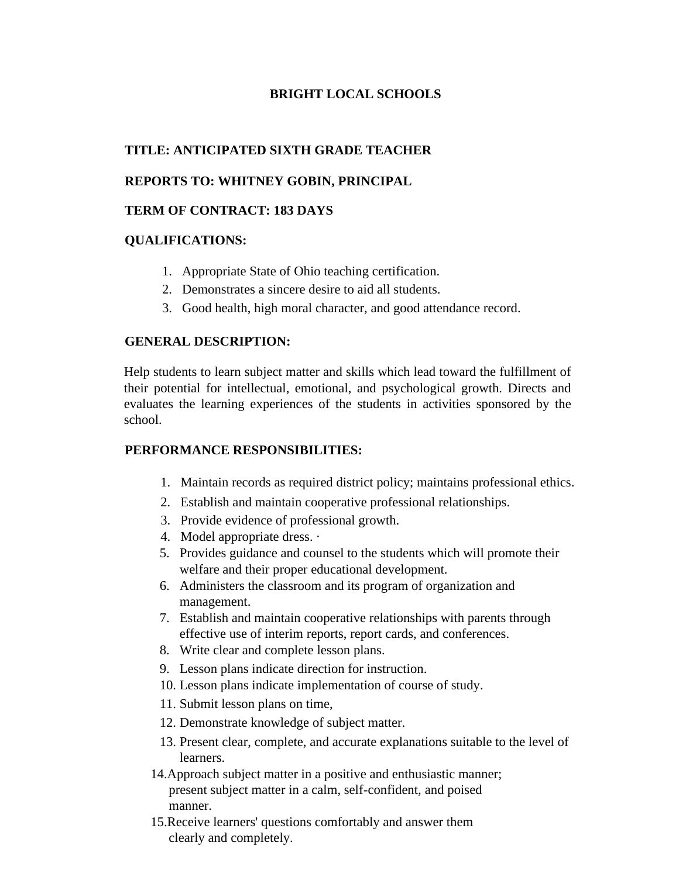# **BRIGHT LOCAL SCHOOLS**

# **TITLE: ANTICIPATED SIXTH GRADE TEACHER**

# **REPORTS TO: WHITNEY GOBIN, PRINCIPAL**

### **TERM OF CONTRACT: 183 DAYS**

### **QUALIFICATIONS:**

- 1. Appropriate State of Ohio teaching certification.
- 2. Demonstrates a sincere desire to aid all students.
- 3. Good health, high moral character, and good attendance record.

### **GENERAL DESCRIPTION:**

Help students to learn subject matter and skills which lead toward the fulfillment of their potential for intellectual, emotional, and psychological growth. Directs and evaluates the learning experiences of the students in activities sponsored by the school.

#### **PERFORMANCE RESPONSIBILITIES:**

- 1. Maintain records as required district policy; maintains professional ethics.
- 2. Establish and maintain cooperative professional relationships.
- 3. Provide evidence of professional growth.
- 4. Model appropriate dress. ·
- 5. Provides guidance and counsel to the students which will promote their welfare and their proper educational development.
- 6. Administers the classroom and its program of organization and management.
- 7. Establish and maintain cooperative relationships with parents through effective use of interim reports, report cards, and conferences.
- 8. Write clear and complete lesson plans.
- 9. Lesson plans indicate direction for instruction.
- 10. Lesson plans indicate implementation of course of study.
- 11. Submit lesson plans on time,
- 12. Demonstrate knowledge of subject matter.
- 13. Present clear, complete, and accurate explanations suitable to the level of learners.
- 14.Approach subject matter in a positive and enthusiastic manner; present subject matter in a calm, self-confident, and poised manner.
- 15.Receive learners' questions comfortably and answer them clearly and completely.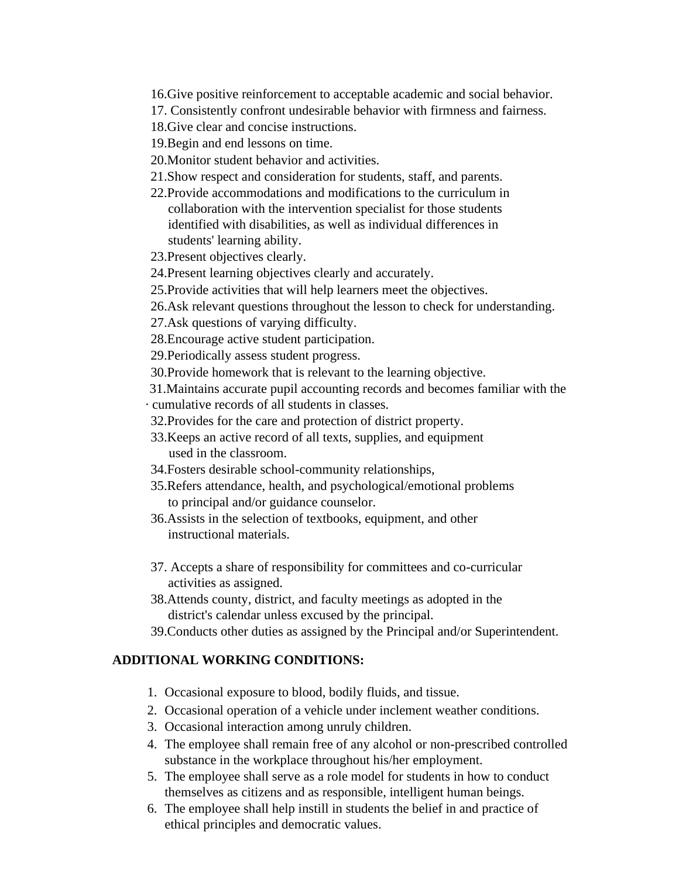16.Give positive reinforcement to acceptable academic and social behavior.

17. Consistently confront undesirable behavior with firmness and fairness.

18.Give clear and concise instructions.

- 19.Begin and end lessons on time.
- 20.Monitor student behavior and activities.
- 21.Show respect and consideration for students, staff, and parents.
- 22.Provide accommodations and modifications to the curriculum in collaboration with the intervention specialist for those students identified with disabilities, as well as individual differences in students' learning ability.
- 23.Present objectives clearly.
- 24.Present learning objectives clearly and accurately.
- 25.Provide activities that will help learners meet the objectives.
- 26.Ask relevant questions throughout the lesson to check for understanding.
- 27.Ask questions of varying difficulty.
- 28.Encourage active student participation.
- 29.Periodically assess student progress.
- 30.Provide homework that is relevant to the learning objective.
- 31.Maintains accurate pupil accounting records and becomes familiar with the
- · cumulative records of all students in classes.
- 32.Provides for the care and protection of district property.
- 33.Keeps an active record of all texts, supplies, and equipment used in the classroom.
- 34.Fosters desirable school-community relationships,
- 35.Refers attendance, health, and psychological/emotional problems to principal and/or guidance counselor.
- 36.Assists in the selection of textbooks, equipment, and other instructional materials.
- 37. Accepts a share of responsibility for committees and co-curricular activities as assigned.
- 38.Attends county, district, and faculty meetings as adopted in the district's calendar unless excused by the principal.
- 39.Conducts other duties as assigned by the Principal and/or Superintendent.

### **ADDITIONAL WORKING CONDITIONS:**

- 1. Occasional exposure to blood, bodily fluids, and tissue.
- 2. Occasional operation of a vehicle under inclement weather conditions.
- 3. Occasional interaction among unruly children.
- 4. The employee shall remain free of any alcohol or non-prescribed controlled substance in the workplace throughout his/her employment.
- 5. The employee shall serve as a role model for students in how to conduct themselves as citizens and as responsible, intelligent human beings.
- 6. The employee shall help instill in students the belief in and practice of ethical principles and democratic values.